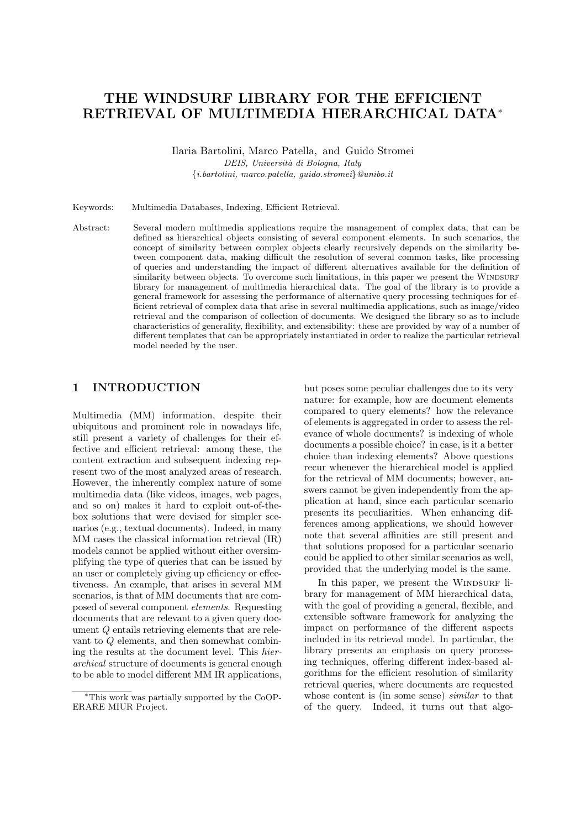# **THE WINDSURF LIBRARY FOR THE EFFICIENT RETRIEVAL OF MULTIMEDIA HIERARCHICAL DATA***<sup>∗</sup>*

Ilaria Bartolini, Marco Patella, and Guido Stromei *DEIS, Universit`a di Bologna, Italy {i.bartolini, marco.patella, guido.stromei}@unibo.it*

Keywords: Multimedia Databases, Indexing, Efficient Retrieval.

Abstract: Several modern multimedia applications require the management of complex data, that can be defined as hierarchical objects consisting of several component elements. In such scenarios, the concept of similarity between complex objects clearly recursively depends on the similarity between component data, making difficult the resolution of several common tasks, like processing of queries and understanding the impact of different alternatives available for the definition of similarity between objects. To overcome such limitations, in this paper we present the WINDSURF library for management of multimedia hierarchical data. The goal of the library is to provide a general framework for assessing the performance of alternative query processing techniques for efficient retrieval of complex data that arise in several multimedia applications, such as image/video retrieval and the comparison of collection of documents. We designed the library so as to include characteristics of generality, flexibility, and extensibility: these are provided by way of a number of different templates that can be appropriately instantiated in order to realize the particular retrieval model needed by the user.

### **1 INTRODUCTION**

Multimedia (MM) information, despite their ubiquitous and prominent role in nowadays life, still present a variety of challenges for their effective and efficient retrieval: among these, the content extraction and subsequent indexing represent two of the most analyzed areas of research. However, the inherently complex nature of some multimedia data (like videos, images, web pages, and so on) makes it hard to exploit out-of-thebox solutions that were devised for simpler scenarios (e.g., textual documents). Indeed, in many MM cases the classical information retrieval (IR) models cannot be applied without either oversimplifying the type of queries that can be issued by an user or completely giving up efficiency or effectiveness. An example, that arises in several MM scenarios, is that of MM documents that are composed of several component *elements*. Requesting documents that are relevant to a given query document *Q* entails retrieving elements that are relevant to *Q* elements, and then somewhat combining the results at the document level. This *hierarchical* structure of documents is general enough to be able to model different MM IR applications,

but poses some peculiar challenges due to its very nature: for example, how are document elements compared to query elements? how the relevance of elements is aggregated in order to assess the relevance of whole documents? is indexing of whole documents a possible choice? in case, is it a better choice than indexing elements? Above questions recur whenever the hierarchical model is applied for the retrieval of MM documents; however, answers cannot be given independently from the application at hand, since each particular scenario presents its peculiarities. When enhancing differences among applications, we should however note that several affinities are still present and that solutions proposed for a particular scenario could be applied to other similar scenarios as well, provided that the underlying model is the same.

In this paper, we present the WINDSURF library for management of MM hierarchical data, with the goal of providing a general, flexible, and extensible software framework for analyzing the impact on performance of the different aspects included in its retrieval model. In particular, the library presents an emphasis on query processing techniques, offering different index-based algorithms for the efficient resolution of similarity retrieval queries, where documents are requested whose content is (in some sense) *similar* to that of the query. Indeed, it turns out that algo-

*<sup>∗</sup>*This work was partially supported by the CoOP-ERARE MIUR Project.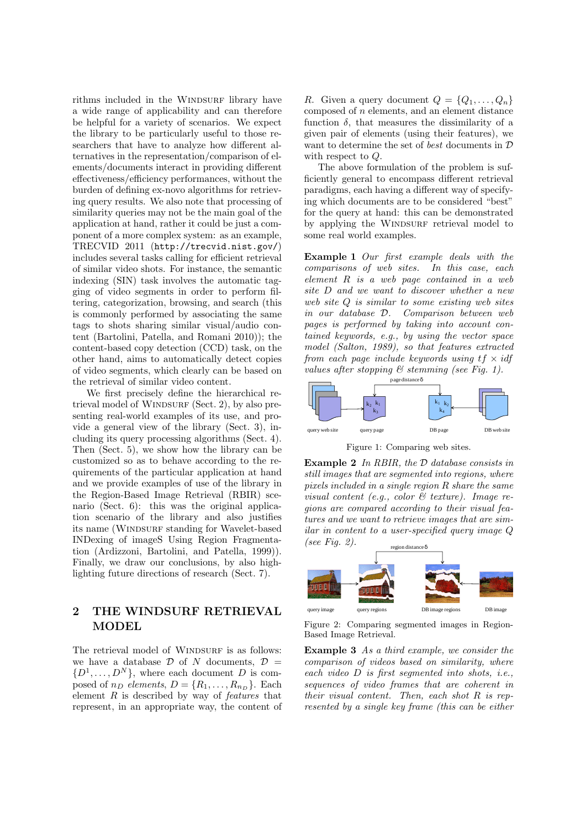rithms included in the WINDSURF library have a wide range of applicability and can therefore be helpful for a variety of scenarios. We expect the library to be particularly useful to those researchers that have to analyze how different alternatives in the representation/comparison of elements/documents interact in providing different effectiveness/efficiency performances, without the burden of defining ex-novo algorithms for retrieving query results. We also note that processing of similarity queries may not be the main goal of the application at hand, rather it could be just a component of a more complex system: as an example, TRECVID 2011 (http://trecvid.nist.gov/) includes several tasks calling for efficient retrieval of similar video shots. For instance, the semantic indexing (SIN) task involves the automatic tagging of video segments in order to perform filtering, categorization, browsing, and search (this is commonly performed by associating the same tags to shots sharing similar visual/audio content (Bartolini, Patella, and Romani 2010)); the content-based copy detection (CCD) task, on the other hand, aims to automatically detect copies of video segments, which clearly can be based on the retrieval of similar video content.

We first precisely define the hierarchical retrieval model of WINDSURF (Sect. 2), by also presenting real-world examples of its use, and provide a general view of the library (Sect. 3), including its query processing algorithms (Sect. 4). Then (Sect. 5), we show how the library can be customized so as to behave according to the requirements of the particular application at hand and we provide examples of use of the library in the Region-Based Image Retrieval (RBIR) scenario (Sect. 6): this was the original application scenario of the library and also justifies its name (WINDSURF standing for Wavelet-based INDexing of imageS Using Region Fragmentation (Ardizzoni, Bartolini, and Patella, 1999)). Finally, we draw our conclusions, by also highlighting future directions of research (Sect. 7).

# **2 THE WINDSURF RETRIEVAL MODEL**

The retrieval model of WINDSURF is as follows: we have a database  $D$  of  $N$  documents,  $D =$  $\{D^1, \ldots, D^N\}$ , where each document *D* is composed of  $n_D$  *elements*,  $D = \{R_1, \ldots, R_{n_D}\}$ . Each element *R* is described by way of *features* that represent, in an appropriate way, the content of

*R*. Given a query document  $Q = \{Q_1, \ldots, Q_n\}$ composed of *n* elements, and an element distance function  $\delta$ , that measures the dissimilarity of a given pair of elements (using their features), we want to determine the set of *best* documents in *D* with respect to *Q*.

The above formulation of the problem is sufficiently general to encompass different retrieval paradigms, each having a different way of specifying which documents are to be considered "best" for the query at hand: this can be demonstrated by applying the WINDSURF retrieval model to some real world examples.

**Example 1** *Our first example deals with the comparisons of web sites. In this case, each element R is a web page contained in a web site D and we want to discover whether a new web site Q is similar to some existing web sites in our database D. Comparison between web pages is performed by taking into account contained keywords, e.g., by using the vector space model (Salton, 1989), so that features extracted from each page include keywords using*  $tf \times idf$ *values after stopping & stemming (see Fig. 1).*



Figure 1: Comparing web sites.

**Example 2** *In RBIR, the D database consists in still images that are segmented into regions, where pixels included in a single region R share the same visual content (e.g., color & texture). Image regions are compared according to their visual features and we want to retrieve images that are similar in content to a user-specified query image Q (see Fig. 2).*



Figure 2: Comparing segmented images in Region-Based Image Retrieval.

**Example 3** *As a third example, we consider the comparison of videos based on similarity, where each video D is first segmented into shots, i.e., sequences of video frames that are coherent in their visual content. Then, each shot R is represented by a single key frame (this can be either*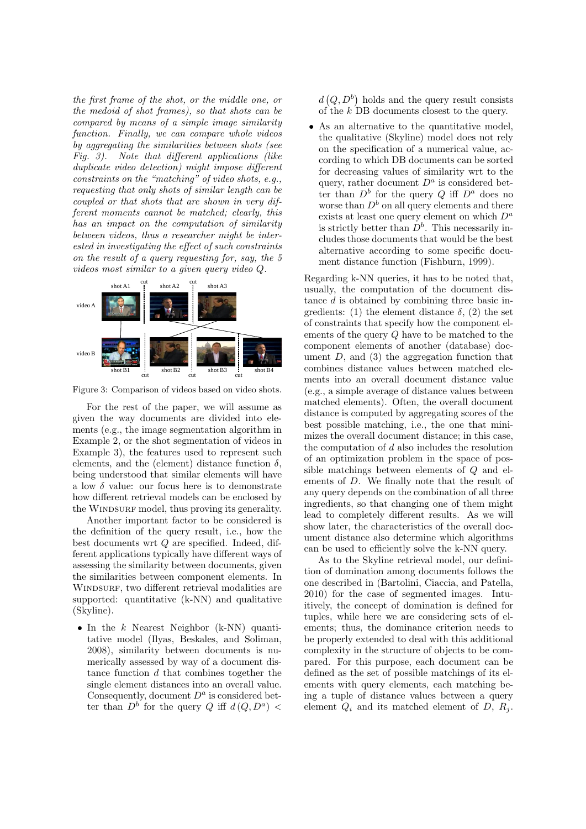*the first frame of the shot, or the middle one, or the medoid of shot frames), so that shots can be compared by means of a simple image similarity function. Finally, we can compare whole videos by aggregating the similarities between shots (see Fig. 3). Note that different applications (like duplicate video detection) might impose different constraints on the "matching" of video shots, e.g., requesting that only shots of similar length can be coupled or that shots that are shown in very different moments cannot be matched; clearly, this has an impact on the computation of similarity between videos, thus a researcher might be interested in investigating the effect of such constraints on the result of a query requesting for, say, the 5 videos most similar to a given query video Q.*



Figure 3: Comparison of videos based on video shots.

For the rest of the paper, we will assume as given the way documents are divided into elements (e.g., the image segmentation algorithm in Example 2, or the shot segmentation of videos in Example 3), the features used to represent such elements, and the (element) distance function  $\delta$ , being understood that similar elements will have a low  $\delta$  value: our focus here is to demonstrate how different retrieval models can be enclosed by the WINDSURF model, thus proving its generality.

Another important factor to be considered is the definition of the query result, i.e., how the best documents wrt *Q* are specified. Indeed, different applications typically have different ways of assessing the similarity between documents, given the similarities between component elements. In WINDSURF, two different retrieval modalities are supported: quantitative (k-NN) and qualitative (Skyline).

*•* In the *k* Nearest Neighbor (k-NN) quantitative model (Ilyas, Beskales, and Soliman, 2008), similarity between documents is numerically assessed by way of a document distance function *d* that combines together the single element distances into an overall value. Consequently, document *D<sup>a</sup>* is considered better than  $D^b$  for the query  $Q$  iff  $d(Q, D^a)$  <

 $d(Q, D<sup>b</sup>)$  holds and the query result consists of the *k* DB documents closest to the query.

• As an alternative to the quantitative model, the qualitative (Skyline) model does not rely on the specification of a numerical value, according to which DB documents can be sorted for decreasing values of similarity wrt to the query, rather document  $D^a$  is considered better than  $D^b$  for the query  $Q$  iff  $D^a$  does no worse than  $D^b$  on all query elements and there exists at least one query element on which *D<sup>a</sup>* is strictly better than  $D^b$ . This necessarily includes those documents that would be the best alternative according to some specific document distance function (Fishburn, 1999).

Regarding k-NN queries, it has to be noted that, usually, the computation of the document distance *d* is obtained by combining three basic ingredients: (1) the element distance  $\delta$ , (2) the set of constraints that specify how the component elements of the query *Q* have to be matched to the component elements of another (database) document *D*, and (3) the aggregation function that combines distance values between matched elements into an overall document distance value (e.g., a simple average of distance values between matched elements). Often, the overall document distance is computed by aggregating scores of the best possible matching, i.e., the one that minimizes the overall document distance; in this case, the computation of *d* also includes the resolution of an optimization problem in the space of possible matchings between elements of *Q* and elements of *D*. We finally note that the result of any query depends on the combination of all three ingredients, so that changing one of them might lead to completely different results. As we will show later, the characteristics of the overall document distance also determine which algorithms can be used to efficiently solve the k-NN query.

As to the Skyline retrieval model, our definition of domination among documents follows the one described in (Bartolini, Ciaccia, and Patella, 2010) for the case of segmented images. Intuitively, the concept of domination is defined for tuples, while here we are considering sets of elements; thus, the dominance criterion needs to be properly extended to deal with this additional complexity in the structure of objects to be compared. For this purpose, each document can be defined as the set of possible matchings of its elements with query elements, each matching being a tuple of distance values between a query element  $Q_i$  and its matched element of  $D$ ,  $R_i$ .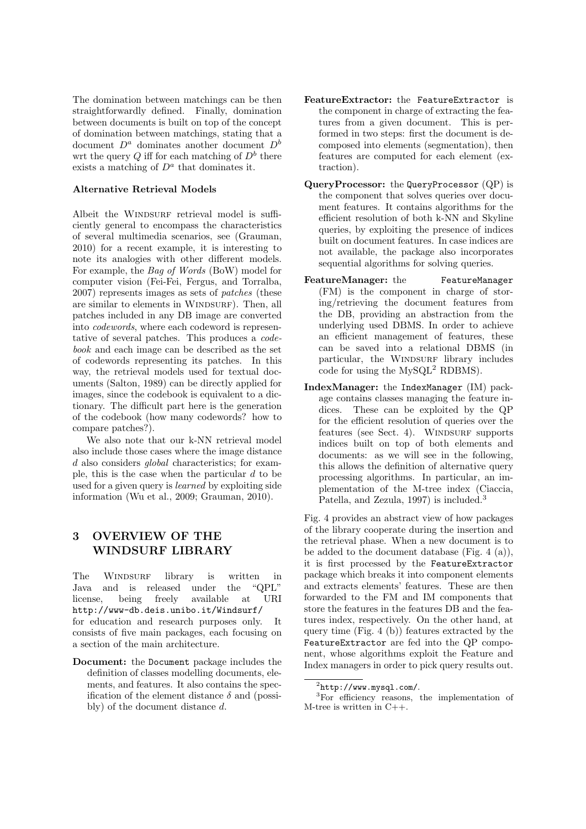The domination between matchings can be then straightforwardly defined. Finally, domination between documents is built on top of the concept of domination between matchings, stating that a document *D<sup>a</sup>* dominates another document *D<sup>b</sup>* wrt the query  $Q$  iff for each matching of  $D^b$  there exists a matching of  $D^a$  that dominates it.

### **Alternative Retrieval Models**

Albeit the WINDSURF retrieval model is sufficiently general to encompass the characteristics of several multimedia scenarios, see (Grauman, 2010) for a recent example, it is interesting to note its analogies with other different models. For example, the *Bag of Words* (BoW) model for computer vision (Fei-Fei, Fergus, and Torralba, 2007) represents images as sets of *patches* (these are similar to elements in WINDSURF). Then, all patches included in any DB image are converted into *codewords*, where each codeword is representative of several patches. This produces a *codebook* and each image can be described as the set of codewords representing its patches. In this way, the retrieval models used for textual documents (Salton, 1989) can be directly applied for images, since the codebook is equivalent to a dictionary. The difficult part here is the generation of the codebook (how many codewords? how to compare patches?).

We also note that our k-NN retrieval model also include those cases where the image distance *d* also considers *global* characteristics; for example, this is the case when the particular *d* to be used for a given query is *learned* by exploiting side information (Wu et al., 2009; Grauman, 2010).

# **3 OVERVIEW OF THE WINDSURF LIBRARY**

The WINDSURF library is written in Java and is released under the "QPL" license, being freely available at URI http://www-db.deis.unibo.it/Windsurf/ for education and research purposes only. It consists of five main packages, each focusing on a section of the main architecture.

**Document:** the Document package includes the definition of classes modelling documents, elements, and features. It also contains the specification of the element distance  $\delta$  and (possibly) of the document distance *d*.

- **FeatureExtractor:** the FeatureExtractor is the component in charge of extracting the features from a given document. This is performed in two steps: first the document is decomposed into elements (segmentation), then features are computed for each element (extraction).
- **QueryProcessor:** the QueryProcessor (QP) is the component that solves queries over document features. It contains algorithms for the efficient resolution of both k-NN and Skyline queries, by exploiting the presence of indices built on document features. In case indices are not available, the package also incorporates sequential algorithms for solving queries.
- **FeatureManager:** the FeatureManager (FM) is the component in charge of storing/retrieving the document features from the DB, providing an abstraction from the underlying used DBMS. In order to achieve an efficient management of features, these can be saved into a relational DBMS (in particular, the WINDSURF library includes code for using the MySQL<sup>2</sup> RDBMS).
- **IndexManager:** the IndexManager (IM) package contains classes managing the feature indices. These can be exploited by the QP for the efficient resolution of queries over the features (see Sect. 4). WINDSURF supports indices built on top of both elements and documents: as we will see in the following, this allows the definition of alternative query processing algorithms. In particular, an implementation of the M-tree index (Ciaccia, Patella, and Zezula, 1997) is included.<sup>3</sup>

Fig. 4 provides an abstract view of how packages of the library cooperate during the insertion and the retrieval phase. When a new document is to be added to the document database (Fig. 4 (a)), it is first processed by the FeatureExtractor package which breaks it into component elements and extracts elements' features. These are then forwarded to the FM and IM components that store the features in the features DB and the features index, respectively. On the other hand, at query time (Fig. 4 (b)) features extracted by the FeatureExtractor are fed into the QP component, whose algorithms exploit the Feature and Index managers in order to pick query results out.

 $^{2}$ http://www.mysql.com/.

<sup>3</sup>For efficiency reasons, the implementation of M-tree is written in C++.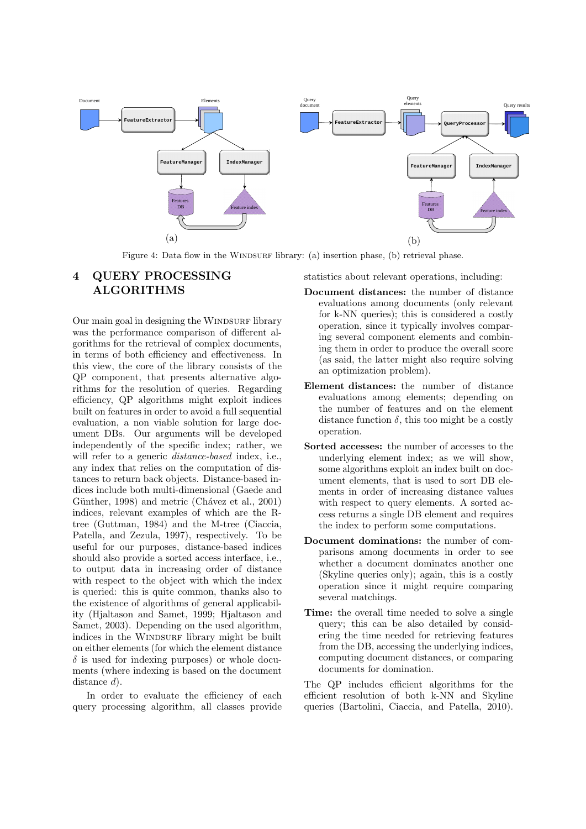

Figure 4: Data flow in the WINDSURF library: (a) insertion phase, (b) retrieval phase.

# **4 QUERY PROCESSING ALGORITHMS**

Our main goal in designing the WINDSURF library was the performance comparison of different algorithms for the retrieval of complex documents, in terms of both efficiency and effectiveness. In this view, the core of the library consists of the QP component, that presents alternative algorithms for the resolution of queries. Regarding efficiency, QP algorithms might exploit indices built on features in order to avoid a full sequential evaluation, a non viable solution for large document DBs. Our arguments will be developed independently of the specific index; rather, we will refer to a generic *distance-based* index, i.e., any index that relies on the computation of distances to return back objects. Distance-based indices include both multi-dimensional (Gaede and Günther, 1998) and metric (Chávez et al., 2001) indices, relevant examples of which are the Rtree (Guttman, 1984) and the M-tree (Ciaccia, Patella, and Zezula, 1997), respectively. To be useful for our purposes, distance-based indices should also provide a sorted access interface, i.e., to output data in increasing order of distance with respect to the object with which the index is queried: this is quite common, thanks also to the existence of algorithms of general applicability (Hjaltason and Samet, 1999; Hjaltason and Samet, 2003). Depending on the used algorithm, indices in the WINDSURF library might be built on either elements (for which the element distance  $\delta$  is used for indexing purposes) or whole documents (where indexing is based on the document distance *d*).

In order to evaluate the efficiency of each query processing algorithm, all classes provide statistics about relevant operations, including:

- **Document distances:** the number of distance evaluations among documents (only relevant for k-NN queries); this is considered a costly operation, since it typically involves comparing several component elements and combining them in order to produce the overall score (as said, the latter might also require solving an optimization problem).
- **Element distances:** the number of distance evaluations among elements; depending on the number of features and on the element distance function  $\delta$ , this too might be a costly operation.
- **Sorted accesses:** the number of accesses to the underlying element index; as we will show, some algorithms exploit an index built on document elements, that is used to sort DB elements in order of increasing distance values with respect to query elements. A sorted access returns a single DB element and requires the index to perform some computations.
- **Document dominations:** the number of comparisons among documents in order to see whether a document dominates another one (Skyline queries only); again, this is a costly operation since it might require comparing several matchings.
- **Time:** the overall time needed to solve a single query; this can be also detailed by considering the time needed for retrieving features from the DB, accessing the underlying indices, computing document distances, or comparing documents for domination.

The QP includes efficient algorithms for the efficient resolution of both k-NN and Skyline queries (Bartolini, Ciaccia, and Patella, 2010).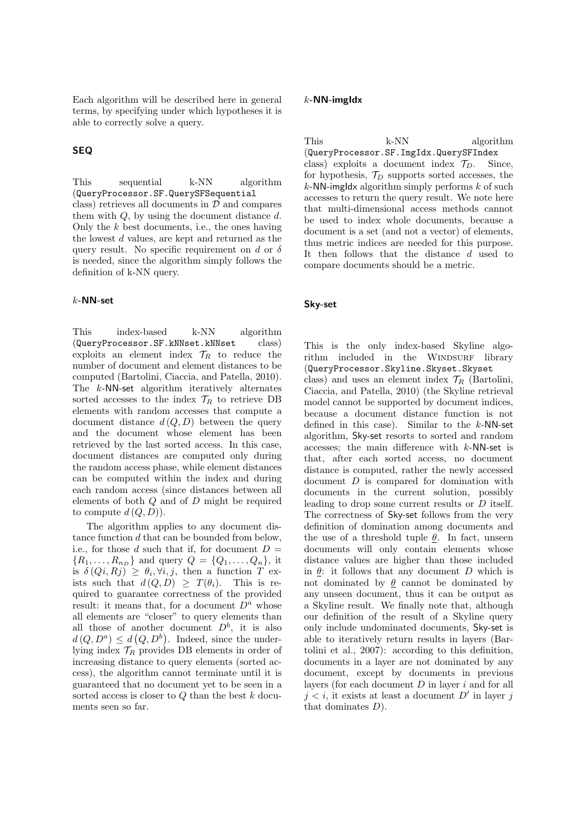Each algorithm will be described here in general terms, by specifying under which hypotheses it is able to correctly solve a query.

### **SEQ**

This sequential k-NN algorithm (QueryProcessor.SF.QuerySFSequential class) retrieves all documents in *D* and compares them with *Q*, by using the document distance *d*. Only the *k* best documents, i.e., the ones having the lowest *d* values, are kept and returned as the query result. No specific requirement on *d* or *δ*

is needed, since the algorithm simply follows the

#### *k***-NN-set**

definition of k-NN query.

This index-based k-NN algorithm (QueryProcessor.SF.kNNset.kNNset class) exploits an element index  $\mathcal{T}_R$  to reduce the number of document and element distances to be computed (Bartolini, Ciaccia, and Patella, 2010). The *k*-NN-set algorithm iteratively alternates sorted accesses to the index  $\mathcal{T}_R$  to retrieve DB elements with random accesses that compute a document distance *d* (*Q, D*) between the query and the document whose element has been retrieved by the last sorted access. In this case, document distances are computed only during the random access phase, while element distances can be computed within the index and during each random access (since distances between all elements of both *Q* and of *D* might be required to compute  $d(Q, D)$ .

The algorithm applies to any document distance function *d* that can be bounded from below, i.e., for those  $d$  such that if, for document  $D =$  ${R_1, \ldots, R_{n}$  and query  $Q = \{Q_1, \ldots, Q_n\}$ , it is  $\delta(Q_i, R_j) \geq \theta_i, \forall i, j$ , then a function *T* exists such that  $d(Q, D) \geq T(\theta_i)$ . This is required to guarantee correctness of the provided result: it means that, for a document  $D^a$  whose all elements are "closer" to query elements than all those of another document  $D^b$ , it is also  $d(Q, D^a) \leq d(Q, D^b)$ . Indeed, since the underlying index  $\mathcal{T}_R$  provides DB elements in order of increasing distance to query elements (sorted access), the algorithm cannot terminate until it is guaranteed that no document yet to be seen in a sorted access is closer to *Q* than the best *k* documents seen so far.

#### *k***-NN-imgIdx**

This k-NN algorithm (QueryProcessor.SF.ImgIdx.QuerySFIndex class) exploits a document index  $\mathcal{T}_D$ . Since, for hypothesis,  $\mathcal{T}_D$  supports sorted accesses, the *k*-NN-imgIdx algorithm simply performs *k* of such accesses to return the query result. We note here that multi-dimensional access methods cannot be used to index whole documents, because a document is a set (and not a vector) of elements, thus metric indices are needed for this purpose. It then follows that the distance *d* used to compare documents should be a metric.

#### **Sky-set**

This is the only index-based Skyline algorithm included in the WINDSURF library (QueryProcessor.Skyline.Skyset.Skyset class) and uses an element index  $\mathcal{T}_R$  (Bartolini, Ciaccia, and Patella, 2010) (the Skyline retrieval model cannot be supported by document indices, because a document distance function is not defined in this case). Similar to the *k*-NN-set algorithm, Sky-set resorts to sorted and random accesses; the main difference with *k*-NN-set is that, after each sorted access, no document distance is computed, rather the newly accessed document *D* is compared for domination with documents in the current solution, possibly leading to drop some current results or *D* itself. The correctness of Sky-set follows from the very definition of domination among documents and the use of a threshold tuple  $\theta$ . In fact, unseen documents will only contain elements whose distance values are higher than those included in  $\theta$ : it follows that any document *D* which is not dominated by  $\theta$  cannot be dominated by any unseen document, thus it can be output as a Skyline result. We finally note that, although our definition of the result of a Skyline query only include undominated documents, Sky-set is able to iteratively return results in layers (Bartolini et al., 2007): according to this definition, documents in a layer are not dominated by any document, except by documents in previous layers (for each document *D* in layer *i* and for all  $j < i$ , it exists at least a document  $D'$  in layer  $j$ that dominates *D*).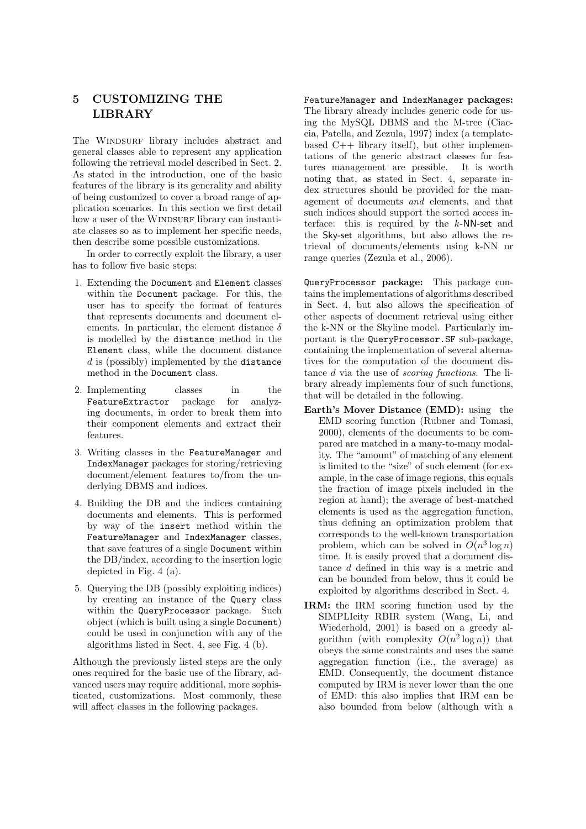# **5 CUSTOMIZING THE LIBRARY**

The WINDSURF library includes abstract and general classes able to represent any application following the retrieval model described in Sect. 2. As stated in the introduction, one of the basic features of the library is its generality and ability of being customized to cover a broad range of application scenarios. In this section we first detail how a user of the WINDSURF library can instantiate classes so as to implement her specific needs, then describe some possible customizations.

In order to correctly exploit the library, a user has to follow five basic steps:

- 1. Extending the Document and Element classes within the Document package. For this, the user has to specify the format of features that represents documents and document elements. In particular, the element distance *δ* is modelled by the distance method in the Element class, while the document distance *d* is (possibly) implemented by the distance method in the Document class.
- 2. Implementing classes in the FeatureExtractor package for analyzing documents, in order to break them into their component elements and extract their features.
- 3. Writing classes in the FeatureManager and IndexManager packages for storing/retrieving document/element features to/from the underlying DBMS and indices.
- 4. Building the DB and the indices containing documents and elements. This is performed by way of the insert method within the FeatureManager and IndexManager classes, that save features of a single Document within the DB/index, according to the insertion logic depicted in Fig. 4 (a).
- 5. Querying the DB (possibly exploiting indices) by creating an instance of the Query class within the QueryProcessor package. Such object (which is built using a single Document) could be used in conjunction with any of the algorithms listed in Sect. 4, see Fig. 4 (b).

Although the previously listed steps are the only ones required for the basic use of the library, advanced users may require additional, more sophisticated, customizations. Most commonly, these will affect classes in the following packages.

FeatureManager **and** IndexManager **packages:** The library already includes generic code for using the MySQL DBMS and the M-tree (Ciaccia, Patella, and Zezula, 1997) index (a templatebased C++ library itself), but other implementations of the generic abstract classes for features management are possible. It is worth noting that, as stated in Sect. 4, separate index structures should be provided for the management of documents *and* elements, and that such indices should support the sorted access interface: this is required by the *k*-NN-set and the Sky-set algorithms, but also allows the retrieval of documents/elements using k-NN or range queries (Zezula et al., 2006).

QueryProcessor **package:** This package contains the implementations of algorithms described in Sect. 4, but also allows the specification of other aspects of document retrieval using either the k-NN or the Skyline model. Particularly important is the QueryProcessor.SF sub-package, containing the implementation of several alternatives for the computation of the document distance *d* via the use of *scoring functions*. The library already implements four of such functions, that will be detailed in the following.

- **Earth's Mover Distance (EMD):** using the EMD scoring function (Rubner and Tomasi, 2000), elements of the documents to be compared are matched in a many-to-many modality. The "amount" of matching of any element is limited to the "size" of such element (for example, in the case of image regions, this equals the fraction of image pixels included in the region at hand); the average of best-matched elements is used as the aggregation function, thus defining an optimization problem that corresponds to the well-known transportation problem, which can be solved in  $O(n^3 \log n)$ time. It is easily proved that a document distance *d* defined in this way is a metric and can be bounded from below, thus it could be exploited by algorithms described in Sect. 4.
- **IRM:** the IRM scoring function used by the SIMPLIcity RBIR system (Wang, Li, and Wiederhold, 2001) is based on a greedy algorithm (with complexity  $O(n^2 \log n)$ ) that obeys the same constraints and uses the same aggregation function (i.e., the average) as EMD. Consequently, the document distance computed by IRM is never lower than the one of EMD: this also implies that IRM can be also bounded from below (although with a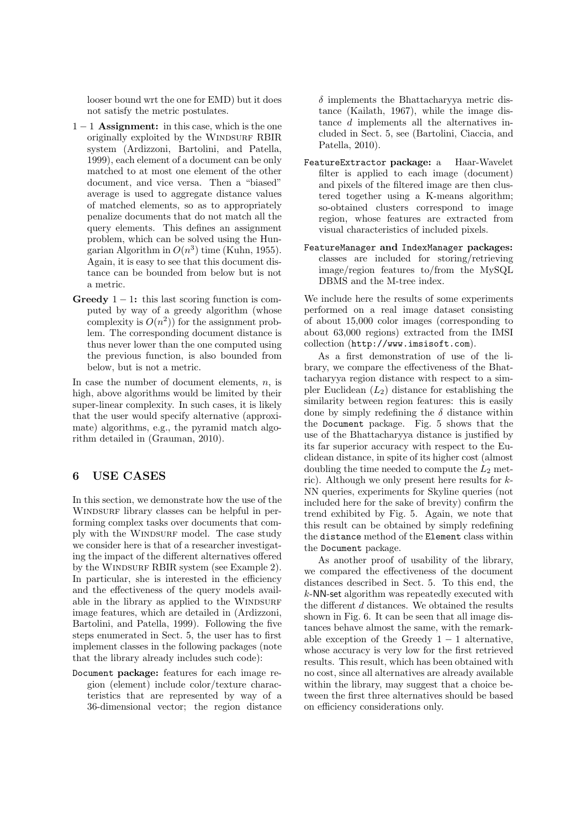looser bound wrt the one for EMD) but it does not satisfy the metric postulates.

- 1 *−* 1 **Assignment:** in this case, which is the one originally exploited by the WINDSURF RBIR system (Ardizzoni, Bartolini, and Patella, 1999), each element of a document can be only matched to at most one element of the other document, and vice versa. Then a "biased" average is used to aggregate distance values of matched elements, so as to appropriately penalize documents that do not match all the query elements. This defines an assignment problem, which can be solved using the Hungarian Algorithm in  $O(n^3)$  time (Kuhn, 1955). Again, it is easy to see that this document distance can be bounded from below but is not a metric.
- **Greedy**  $1 1$ : this last scoring function is computed by way of a greedy algorithm (whose complexity is  $O(n^2)$  for the assignment problem. The corresponding document distance is thus never lower than the one computed using the previous function, is also bounded from below, but is not a metric.

In case the number of document elements, *n*, is high, above algorithms would be limited by their super-linear complexity. In such cases, it is likely that the user would specify alternative (approximate) algorithms, e.g., the pyramid match algorithm detailed in (Grauman, 2010).

## **6 USE CASES**

In this section, we demonstrate how the use of the WINDSURF library classes can be helpful in performing complex tasks over documents that comply with the WINDSURF model. The case study we consider here is that of a researcher investigating the impact of the different alternatives offered by the WINDSURF RBIR system (see Example 2). In particular, she is interested in the efficiency and the effectiveness of the query models available in the library as applied to the WINDSURF image features, which are detailed in (Ardizzoni, Bartolini, and Patella, 1999). Following the five steps enumerated in Sect. 5, the user has to first implement classes in the following packages (note that the library already includes such code):

Document **package:** features for each image region (element) include color/texture characteristics that are represented by way of a 36-dimensional vector; the region distance *δ* implements the Bhattacharyya metric distance (Kailath, 1967), while the image distance *d* implements all the alternatives included in Sect. 5, see (Bartolini, Ciaccia, and Patella, 2010).

- FeatureExtractor **package:** a Haar-Wavelet filter is applied to each image (document) and pixels of the filtered image are then clustered together using a K-means algorithm; so-obtained clusters correspond to image region, whose features are extracted from visual characteristics of included pixels.
- FeatureManager **and** IndexManager **packages:** classes are included for storing/retrieving image/region features to/from the MySQL DBMS and the M-tree index.

We include here the results of some experiments performed on a real image dataset consisting of about 15,000 color images (corresponding to about 63,000 regions) extracted from the IMSI collection (http://www.imsisoft.com).

As a first demonstration of use of the library, we compare the effectiveness of the Bhattacharyya region distance with respect to a simpler Euclidean (*L*2) distance for establishing the similarity between region features: this is easily done by simply redefining the  $\delta$  distance within the Document package. Fig. 5 shows that the use of the Bhattacharyya distance is justified by its far superior accuracy with respect to the Euclidean distance, in spite of its higher cost (almost doubling the time needed to compute the  $L_2$  metric). Although we only present here results for *k*-NN queries, experiments for Skyline queries (not included here for the sake of brevity) confirm the trend exhibited by Fig. 5. Again, we note that this result can be obtained by simply redefining the distance method of the Element class within the Document package.

As another proof of usability of the library, we compared the effectiveness of the document distances described in Sect. 5. To this end, the *k*-NN-set algorithm was repeatedly executed with the different *d* distances. We obtained the results shown in Fig. 6. It can be seen that all image distances behave almost the same, with the remarkable exception of the Greedy  $1 - 1$  alternative, whose accuracy is very low for the first retrieved results. This result, which has been obtained with no cost, since all alternatives are already available within the library, may suggest that a choice between the first three alternatives should be based on efficiency considerations only.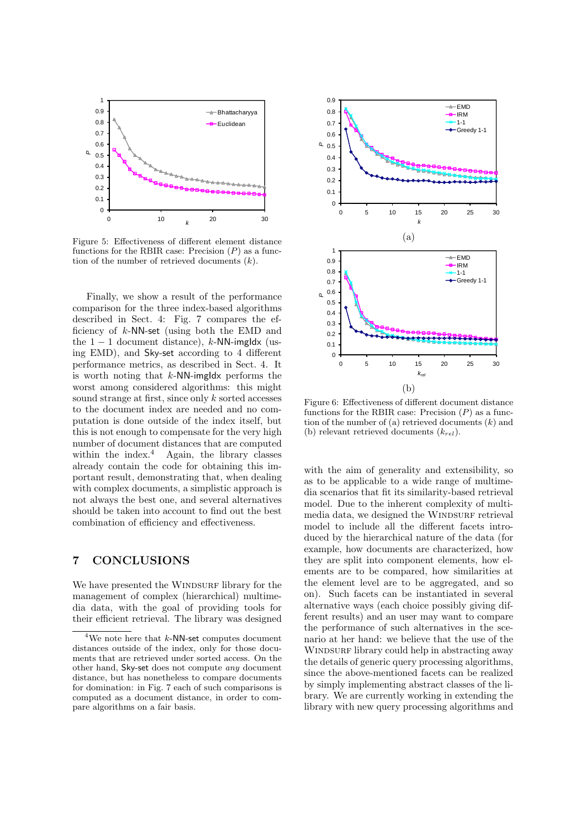

Figure 5: Effectiveness of different element distance functions for the RBIR case: Precision  $(P)$  as a function of the number of retrieved documents (*k*).

Finally, we show a result of the performance comparison for the three index-based algorithms described in Sect. 4: Fig. 7 compares the efficiency of *k*-NN-set (using both the EMD and the  $1 - 1$  document distance),  $k$ -NN-imgldx (using EMD), and Sky-set according to 4 different performance metrics, as described in Sect. 4. It is worth noting that *k*-NN-imgIdx performs the worst among considered algorithms: this might sound strange at first, since only *k* sorted accesses to the document index are needed and no computation is done outside of the index itself, but this is not enough to compensate for the very high number of document distances that are computed within the index. $4$  Again, the library classes already contain the code for obtaining this important result, demonstrating that, when dealing with complex documents, a simplistic approach is not always the best one, and several alternatives should be taken into account to find out the best combination of efficiency and effectiveness.

### **7 CONCLUSIONS**

We have presented the WINDSURF library for the management of complex (hierarchical) multimedia data, with the goal of providing tools for their efficient retrieval. The library was designed



Figure 6: Effectiveness of different document distance functions for the RBIR case: Precision (*P*) as a function of the number of (a) retrieved documents (*k*) and (b) relevant retrieved documents (*krel*).

with the aim of generality and extensibility, so as to be applicable to a wide range of multimedia scenarios that fit its similarity-based retrieval model. Due to the inherent complexity of multimedia data, we designed the WINDSURF retrieval model to include all the different facets introduced by the hierarchical nature of the data (for example, how documents are characterized, how they are split into component elements, how elements are to be compared, how similarities at the element level are to be aggregated, and so on). Such facets can be instantiated in several alternative ways (each choice possibly giving different results) and an user may want to compare the performance of such alternatives in the scenario at her hand: we believe that the use of the WINDSURF library could help in abstracting away the details of generic query processing algorithms, since the above-mentioned facets can be realized by simply implementing abstract classes of the library. We are currently working in extending the library with new query processing algorithms and

<sup>4</sup>We note here that *k*-NN-set computes document distances outside of the index, only for those documents that are retrieved under sorted access. On the other hand, Sky-set does not compute *any* document distance, but has nonetheless to compare documents for domination: in Fig. 7 each of such comparisons is computed as a document distance, in order to compare algorithms on a fair basis.